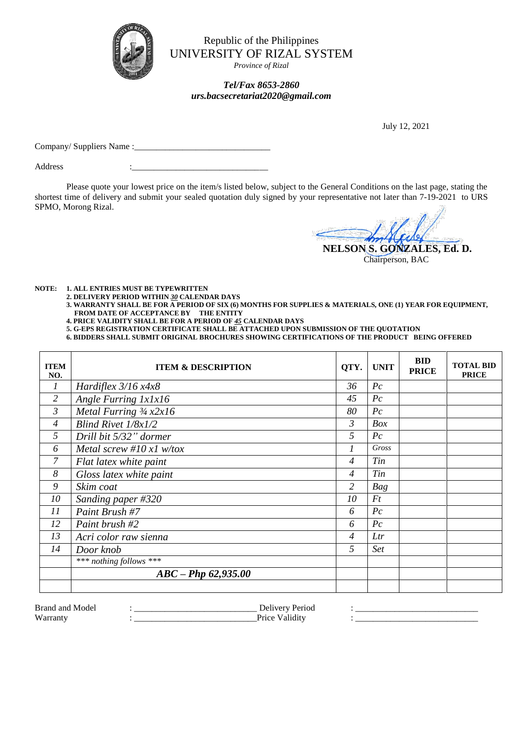

Republic of the Philippines UNIVERSITY OF RIZAL SYSTEM

*Province of Rizal*

## *Tel/Fax 8653-2860 urs.bacsecretariat2020@gmail.com*

July 12, 2021

Company/ Suppliers Name :\_\_\_\_\_\_\_\_\_\_\_\_\_\_\_\_\_\_\_\_\_\_\_\_\_\_\_\_\_\_\_

Address

Please quote your lowest price on the item/s listed below, subject to the General Conditions on the last page, stating the shortest time of delivery and submit your sealed quotation duly signed by your representative not later than 7-19-2021 to URS SPMO, Morong Rizal.

 **NELSON S. GONZALES, Ed. D.** Chairperson, BAC

**NOTE: 1. ALL ENTRIES MUST BE TYPEWRITTEN**

**2. DELIVERY PERIOD WITHIN** *30* **CALENDAR DAYS**

- **3. WARRANTY SHALL BE FOR A PERIOD OF SIX (6) MONTHS FOR SUPPLIES & MATERIALS, ONE (1) YEAR FOR EQUIPMENT, FROM DATE OF ACCEPTANCE BY THE ENTITY**
- **4. PRICE VALIDITY SHALL BE FOR A PERIOD OF** *45* **CALENDAR DAYS**
- **5. G-EPS REGISTRATION CERTIFICATE SHALL BE ATTACHED UPON SUBMISSION OF THE QUOTATION**

**6. BIDDERS SHALL SUBMIT ORIGINAL BROCHURES SHOWING CERTIFICATIONS OF THE PRODUCT BEING OFFERED**

| <b>ITEM</b><br>NO. | <b>ITEM &amp; DESCRIPTION</b>             | QTY.           | <b>UNIT</b>       | <b>BID</b><br><b>PRICE</b> | <b>TOTAL BID</b><br><b>PRICE</b> |
|--------------------|-------------------------------------------|----------------|-------------------|----------------------------|----------------------------------|
| 1                  | Hardiflex $3/16 x 4x8$                    | 36             | $P_{c}$           |                            |                                  |
| $\overline{2}$     | Angle Furring 1x1x16                      | 45             | $P_{\mathcal{C}}$ |                            |                                  |
| 3                  | Metal Furring $\frac{3}{4}x \frac{2x}{6}$ | 80             | $P_{\mathcal{C}}$ |                            |                                  |
| $\overline{4}$     | Blind Rivet $1/8x1/2$                     | $\mathcal{E}$  | Box               |                            |                                  |
| 5                  | Drill bit 5/32" dormer                    | 5              | $P_{\mathcal{C}}$ |                            |                                  |
| 6                  | Metal screw #10 $x1$ w/tox                | 1              | Gross             |                            |                                  |
| 7                  | Flat latex white paint                    | $\overline{4}$ | Tin               |                            |                                  |
| 8                  | Gloss latex white paint                   | $\overline{4}$ | Tin               |                            |                                  |
| 9                  | Skim coat                                 | $\overline{2}$ | Bag               |                            |                                  |
| 10                 | Sanding paper #320                        | 10             | Ft                |                            |                                  |
| 11                 | Paint Brush #7                            | 6              | $P_{\mathcal{C}}$ |                            |                                  |
| 12                 | Paint brush #2                            | 6              | $P_{\mathcal{C}}$ |                            |                                  |
| 13                 | Acri color raw sienna                     | $\overline{4}$ | Ltr               |                            |                                  |
| 14                 | Door knob                                 | 5              | <b>Set</b>        |                            |                                  |
|                    | *** nothing follows ***                   |                |                   |                            |                                  |
|                    | $ABC - PhD\ 62,935.00$                    |                |                   |                            |                                  |
|                    |                                           |                |                   |                            |                                  |

| Brand<br>-and<br>Mode | $\cdots$<br>$\sim$ $\sim$ | ________________ |
|-----------------------|---------------------------|------------------|
| W<br>$-10000000$      | $P_{T1} \cap C$           |                  |